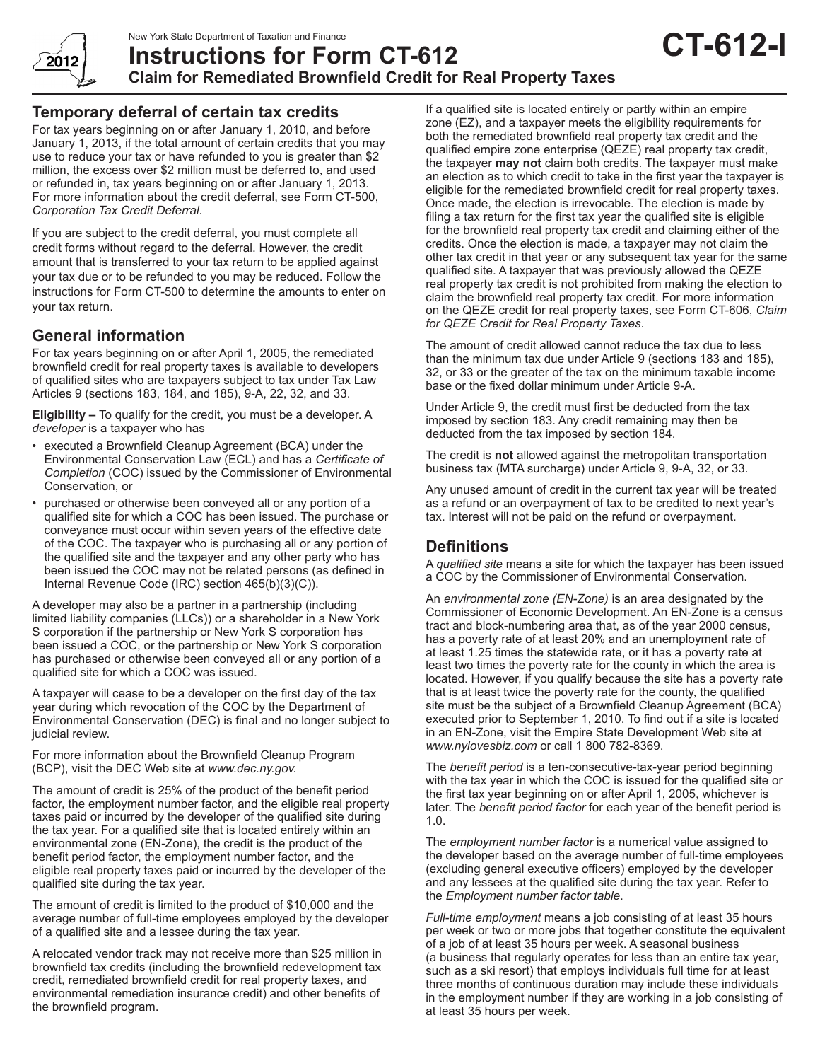

**Claim for Remediated Brownfield Credit for Real Property Taxes**

# **Temporary deferral of certain tax credits**

For tax years beginning on or after January 1, 2010, and before January 1, 2013, if the total amount of certain credits that you may use to reduce your tax or have refunded to you is greater than \$2 million, the excess over \$2 million must be deferred to, and used or refunded in, tax years beginning on or after January 1, 2013. For more information about the credit deferral, see Form CT-500, *Corporation Tax Credit Deferral*.

If you are subject to the credit deferral, you must complete all credit forms without regard to the deferral. However, the credit amount that is transferred to your tax return to be applied against your tax due or to be refunded to you may be reduced. Follow the instructions for Form CT-500 to determine the amounts to enter on your tax return.

## **General information**

For tax years beginning on or after April 1, 2005, the remediated brownfield credit for real property taxes is available to developers of qualified sites who are taxpayers subject to tax under Tax Law Articles 9 (sections 183, 184, and 185), 9-A, 22, 32, and 33.

**Eligibility –** To qualify for the credit, you must be a developer. A *developer* is a taxpayer who has

- executed a Brownfield Cleanup Agreement (BCA) under the Environmental Conservation Law (ECL) and has a *Certificate of Completion* (COC) issued by the Commissioner of Environmental Conservation, or
- purchased or otherwise been conveyed all or any portion of a qualified site for which a COC has been issued. The purchase or conveyance must occur within seven years of the effective date of the COC. The taxpayer who is purchasing all or any portion of the qualified site and the taxpayer and any other party who has been issued the COC may not be related persons (as defined in Internal Revenue Code (IRC) section 465(b)(3)(C)).

A developer may also be a partner in a partnership (including limited liability companies (LLCs)) or a shareholder in a New York S corporation if the partnership or New York S corporation has been issued a COC, or the partnership or New York S corporation has purchased or otherwise been conveyed all or any portion of a qualified site for which a COC was issued.

A taxpayer will cease to be a developer on the first day of the tax year during which revocation of the COC by the Department of Environmental Conservation (DEC) is final and no longer subject to judicial review.

For more information about the Brownfield Cleanup Program (BCP), visit the DEC Web site at *www.dec.ny.gov.*

The amount of credit is 25% of the product of the benefit period factor, the employment number factor, and the eligible real property taxes paid or incurred by the developer of the qualified site during the tax year. For a qualified site that is located entirely within an environmental zone (EN-Zone), the credit is the product of the benefit period factor, the employment number factor, and the eligible real property taxes paid or incurred by the developer of the qualified site during the tax year.

The amount of credit is limited to the product of \$10,000 and the average number of full-time employees employed by the developer of a qualified site and a lessee during the tax year.

A relocated vendor track may not receive more than \$25 million in brownfield tax credits (including the brownfield redevelopment tax credit, remediated brownfield credit for real property taxes, and environmental remediation insurance credit) and other benefits of the brownfield program.

If a qualified site is located entirely or partly within an empire zone (EZ), and a taxpayer meets the eligibility requirements for both the remediated brownfield real property tax credit and the qualified empire zone enterprise (QEZE) real property tax credit, the taxpayer **may not** claim both credits. The taxpayer must make an election as to which credit to take in the first year the taxpayer is eligible for the remediated brownfield credit for real property taxes. Once made, the election is irrevocable. The election is made by filing a tax return for the first tax year the qualified site is eligible for the brownfield real property tax credit and claiming either of the credits. Once the election is made, a taxpayer may not claim the other tax credit in that year or any subsequent tax year for the same qualified site. A taxpayer that was previously allowed the QEZE real property tax credit is not prohibited from making the election to claim the brownfield real property tax credit. For more information on the QEZE credit for real property taxes, see Form CT-606, *Claim for QEZE Credit for Real Property Taxes*.

**CT-612-I**

The amount of credit allowed cannot reduce the tax due to less than the minimum tax due under Article 9 (sections 183 and 185), 32, or 33 or the greater of the tax on the minimum taxable income base or the fixed dollar minimum under Article 9-A.

Under Article 9, the credit must first be deducted from the tax imposed by section 183. Any credit remaining may then be deducted from the tax imposed by section 184.

The credit is **not** allowed against the metropolitan transportation business tax (MTA surcharge) under Article 9, 9-A, 32, or 33.

Any unused amount of credit in the current tax year will be treated as a refund or an overpayment of tax to be credited to next year's tax. Interest will not be paid on the refund or overpayment.

# **Definitions**

A *qualified site* means a site for which the taxpayer has been issued a COC by the Commissioner of Environmental Conservation.

An *environmental zone (EN-Zone)* is an area designated by the Commissioner of Economic Development. An EN-Zone is a census tract and block-numbering area that, as of the year 2000 census, has a poverty rate of at least 20% and an unemployment rate of at least 1.25 times the statewide rate, or it has a poverty rate at least two times the poverty rate for the county in which the area is located. However, if you qualify because the site has a poverty rate that is at least twice the poverty rate for the county, the qualified site must be the subject of a Brownfield Cleanup Agreement (BCA) executed prior to September 1, 2010. To find out if a site is located in an EN-Zone, visit the Empire State Development Web site at *www.nylovesbiz.com* or call 1 800 782-8369.

The *benefit period* is a ten-consecutive-tax-year period beginning with the tax year in which the COC is issued for the qualified site or the first tax year beginning on or after April 1, 2005, whichever is later. The *benefit period factor* for each year of the benefit period is 1.0.

The *employment number factor* is a numerical value assigned to the developer based on the average number of full-time employees (excluding general executive officers) employed by the developer and any lessees at the qualified site during the tax year. Refer to the *Employment number factor table*.

*Full-time employment* means a job consisting of at least 35 hours per week or two or more jobs that together constitute the equivalent of a job of at least 35 hours per week. A seasonal business (a business that regularly operates for less than an entire tax year, such as a ski resort) that employs individuals full time for at least three months of continuous duration may include these individuals in the employment number if they are working in a job consisting of at least 35 hours per week.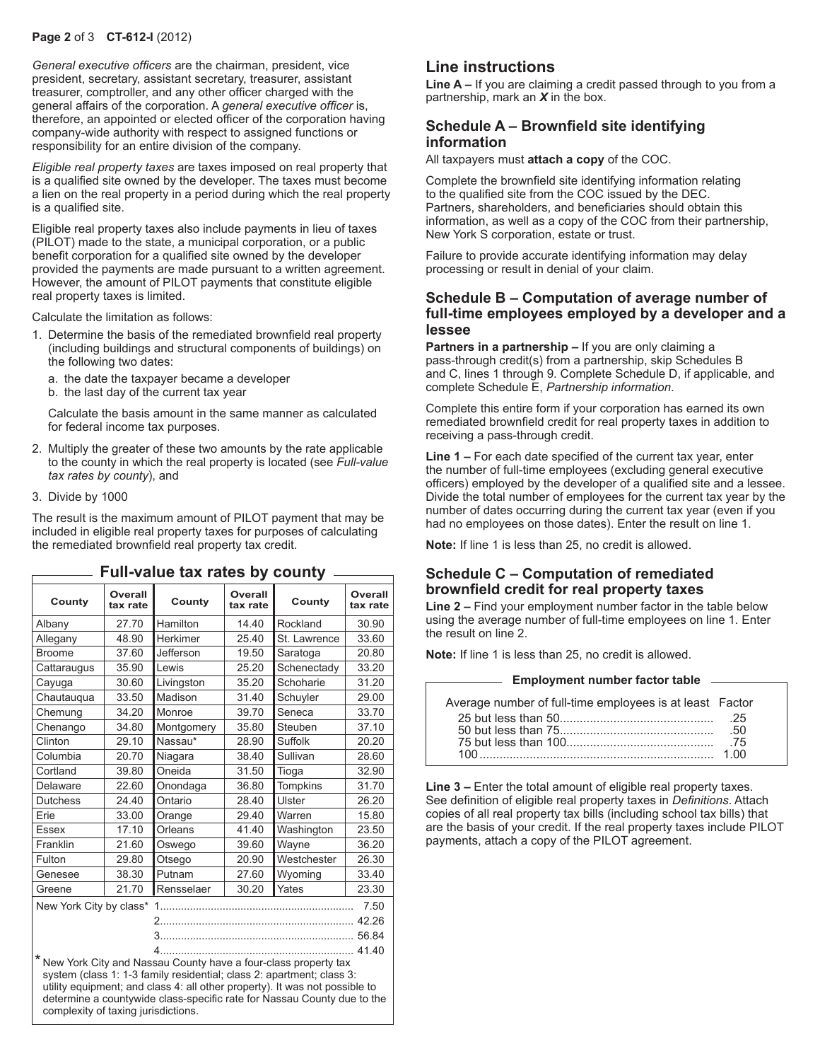#### **Page 2** of 3 **CT-612-I** (2012)

*General executive officers* are the chairman, president, vice president, secretary, assistant secretary, treasurer, assistant treasurer, comptroller, and any other officer charged with the general affairs of the corporation. A *general executive officer* is, therefore, an appointed or elected officer of the corporation having company-wide authority with respect to assigned functions or responsibility for an entire division of the company.

*Eligible real property taxes* are taxes imposed on real property that is a qualified site owned by the developer. The taxes must become a lien on the real property in a period during which the real property is a qualified site.

Eligible real property taxes also include payments in lieu of taxes (PILOT) made to the state, a municipal corporation, or a public benefit corporation for a qualified site owned by the developer provided the payments are made pursuant to a written agreement. However, the amount of PILOT payments that constitute eligible real property taxes is limited.

Calculate the limitation as follows:

- 1. Determine the basis of the remediated brownfield real property (including buildings and structural components of buildings) on the following two dates:
	- a. the date the taxpayer became a developer
	- b. the last day of the current tax year

Calculate the basis amount in the same manner as calculated for federal income tax purposes.

- 2. Multiply the greater of these two amounts by the rate applicable to the county in which the real property is located (see *Full-value tax rates by county*), and
- 3. Divide by 1000

The result is the maximum amount of PILOT payment that may be included in eligible real property taxes for purposes of calculating the remediated brownfield real property tax credit.

| County                                                                                                                                                                                                                                                                                                                                     | Overall<br>tax rate | County     | Overall<br>tax rate | County       | Overall<br>tax rate |  |
|--------------------------------------------------------------------------------------------------------------------------------------------------------------------------------------------------------------------------------------------------------------------------------------------------------------------------------------------|---------------------|------------|---------------------|--------------|---------------------|--|
| Albany                                                                                                                                                                                                                                                                                                                                     | 27.70               | Hamilton   | 14.40               | Rockland     | 30.90               |  |
| Allegany                                                                                                                                                                                                                                                                                                                                   | 48.90               | Herkimer   | 25.40               | St. Lawrence | 33.60               |  |
| <b>Broome</b>                                                                                                                                                                                                                                                                                                                              | 37.60               | Jefferson  | 19.50               | Saratoga     | 20.80               |  |
| Cattaraugus                                                                                                                                                                                                                                                                                                                                | 35.90               | Lewis      | 25.20               | Schenectady  | 33.20               |  |
| Cayuga                                                                                                                                                                                                                                                                                                                                     | 30.60               | Livingston | 35.20               | Schoharie    | 31.20               |  |
| Chautauqua                                                                                                                                                                                                                                                                                                                                 | 33.50               | Madison    | 31.40               | Schuyler     | 29.00               |  |
| Chemung                                                                                                                                                                                                                                                                                                                                    | 34.20               |            | 39.70               | Seneca       | 33.70               |  |
| Chenango                                                                                                                                                                                                                                                                                                                                   | 34.80               | Montgomery | 35.80               | Steuben      | 37.10               |  |
| Clinton                                                                                                                                                                                                                                                                                                                                    | 29.10               | Nassau*    | 28.90               | Suffolk      | 20.20               |  |
| Columbia                                                                                                                                                                                                                                                                                                                                   | 20.70               | Niagara    | 38.40               | Sullivan     | 28.60               |  |
| Cortland                                                                                                                                                                                                                                                                                                                                   | 39.80               | Oneida     | 31.50               | Tioga        | 32.90               |  |
| Delaware                                                                                                                                                                                                                                                                                                                                   | 22.60               | Onondaga   | 36.80               | Tompkins     | 31.70               |  |
| <b>Dutchess</b>                                                                                                                                                                                                                                                                                                                            | 24.40               | Ontario    | 28.40               | Ulster       | 26.20               |  |
| Erie                                                                                                                                                                                                                                                                                                                                       | 33.00               | Orange     | 29.40               | Warren       | 15.80               |  |
| Essex                                                                                                                                                                                                                                                                                                                                      | 17.10               | Orleans    | 41.40               | Washington   | 23.50               |  |
| Franklin                                                                                                                                                                                                                                                                                                                                   | 21.60               | Oswego     | 39.60               | Wayne        | 36.20               |  |
| Fulton                                                                                                                                                                                                                                                                                                                                     | 29.80               | Otsego     | 20.90               | Westchester  | 26.30               |  |
| Genesee                                                                                                                                                                                                                                                                                                                                    | 38.30               | Putnam     | 27.60               | Wyoming      | 33.40               |  |
| Greene                                                                                                                                                                                                                                                                                                                                     | 21.70               | Rensselaer | 30.20               | Yates        | 23.30               |  |
| New York City by class*<br>7.50                                                                                                                                                                                                                                                                                                            |                     |            |                     |              |                     |  |
|                                                                                                                                                                                                                                                                                                                                            |                     |            |                     |              |                     |  |
|                                                                                                                                                                                                                                                                                                                                            |                     |            |                     |              |                     |  |
|                                                                                                                                                                                                                                                                                                                                            |                     |            |                     |              |                     |  |
| * New York City and Nassau County have a four-class property tax<br>system (class 1: 1-3 family residential; class 2: apartment; class 3:<br>utility equipment; and class 4: all other property). It was not possible to<br>determine a countywide class-specific rate for Nassau County due to the<br>complexity of taxing jurisdictions. |                     |            |                     |              |                     |  |

#### **Full-value tax rates by county**

# **Line instructions**

**Line A –** If you are claiming a credit passed through to you from a partnership, mark an *X* in the box.

### **Schedule A – Brownfield site identifying information**

All taxpayers must **attach a copy** of the COC.

Complete the brownfield site identifying information relating to the qualified site from the COC issued by the DEC. Partners, shareholders, and beneficiaries should obtain this information, as well as a copy of the COC from their partnership, New York S corporation, estate or trust.

Failure to provide accurate identifying information may delay processing or result in denial of your claim.

#### **Schedule B – Computation of average number of full-time employees employed by a developer and a lessee**

**Partners in a partnership – If you are only claiming a** pass-through credit(s) from a partnership, skip Schedules B and C, lines 1 through 9. Complete Schedule D, if applicable, and complete Schedule E, *Partnership information*.

Complete this entire form if your corporation has earned its own remediated brownfield credit for real property taxes in addition to receiving a pass-through credit.

**Line 1 –** For each date specified of the current tax year, enter the number of full-time employees (excluding general executive officers) employed by the developer of a qualified site and a lessee. Divide the total number of employees for the current tax year by the number of dates occurring during the current tax year (even if you had no employees on those dates). Enter the result on line 1.

**Note:** If line 1 is less than 25, no credit is allowed.

#### **Schedule C – Computation of remediated brownfield credit for real property taxes**

**Line 2 –** Find your employment number factor in the table below using the average number of full-time employees on line 1. Enter the result on line 2.

**Note:** If line 1 is less than 25, no credit is allowed.

| Employment number factor table ________                  |            |  |  |  |
|----------------------------------------------------------|------------|--|--|--|
|                                                          |            |  |  |  |
| Average number of full-time employees is at least Factor |            |  |  |  |
|                                                          | -25        |  |  |  |
|                                                          | .50<br>.75 |  |  |  |
|                                                          |            |  |  |  |

**Line 3 –** Enter the total amount of eligible real property taxes. See definition of eligible real property taxes in *Definitions*. Attach copies of all real property tax bills (including school tax bills) that are the basis of your credit. If the real property taxes include PILOT payments, attach a copy of the PILOT agreement.